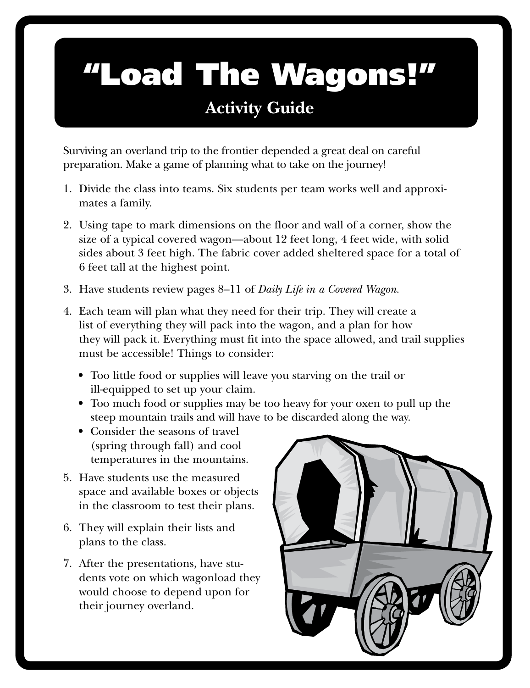### "Load The Wagons!" **Activity Guide**

Surviving an overland trip to the frontier depended a great deal on careful preparation. Make a game of planning what to take on the journey!

- 1. Divide the class into teams. Six students per team works well and approximates a family.
- 2. Using tape to mark dimensions on the floor and wall of a corner, show the size of a typical covered wagon—about 12 feet long, 4 feet wide, with solid sides about 3 feet high. The fabric cover added sheltered space for a total of 6 feet tall at the highest point.
- 3. Have students review pages 8–11 of *Daily Life in a Covered Wagon.*
- 4. Each team will plan what they need for their trip. They will create a list of everything they will pack into the wagon, and a plan for how they will pack it. Everything must fit into the space allowed, and trail supplies must be accessible! Things to consider:
	- Too little food or supplies will leave you starving on the trail or ill-equipped to set up your claim.
	- Too much food or supplies may be too heavy for your oxen to pull up the steep mountain trails and will have to be discarded along the way.
	- Consider the seasons of travel (spring through fall) and cool temperatures in the mountains.
- 5. Have students use the measured space and available boxes or objects in the classroom to test their plans.
- 6. They will explain their lists and plans to the class.
- 7. After the presentations, have students vote on which wagonload they would choose to depend upon for their journey overland.

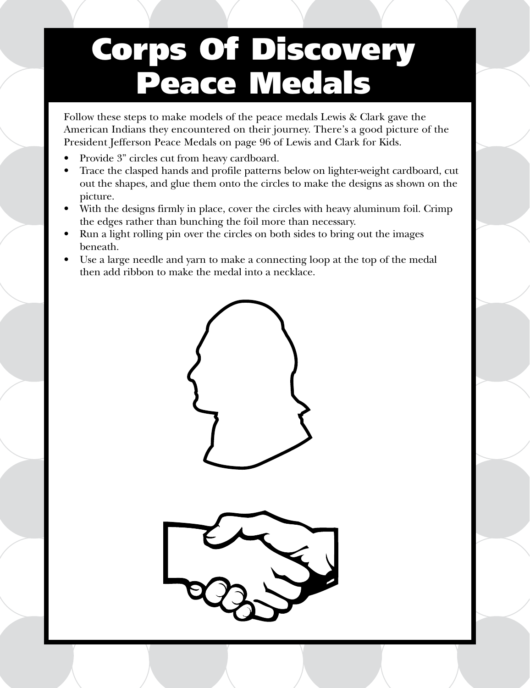## Corps Of Discovery Peace Medals

Follow these steps to make models of the peace medals Lewis & Clark gave the American Indians they encountered on their journey. There's a good picture of the President Jefferson Peace Medals on page 96 of Lewis and Clark for Kids.

- Provide 3" circles cut from heavy cardboard.
- Trace the clasped hands and profile patterns below on lighter-weight cardboard, cut out the shapes, and glue them onto the circles to make the designs as shown on the picture.
- With the designs firmly in place, cover the circles with heavy aluminum foil. Crimp the edges rather than bunching the foil more than necessary.
- Run a light rolling pin over the circles on both sides to bring out the images beneath.
- Use a large needle and yarn to make a connecting loop at the top of the medal then add ribbon to make the medal into a necklace.